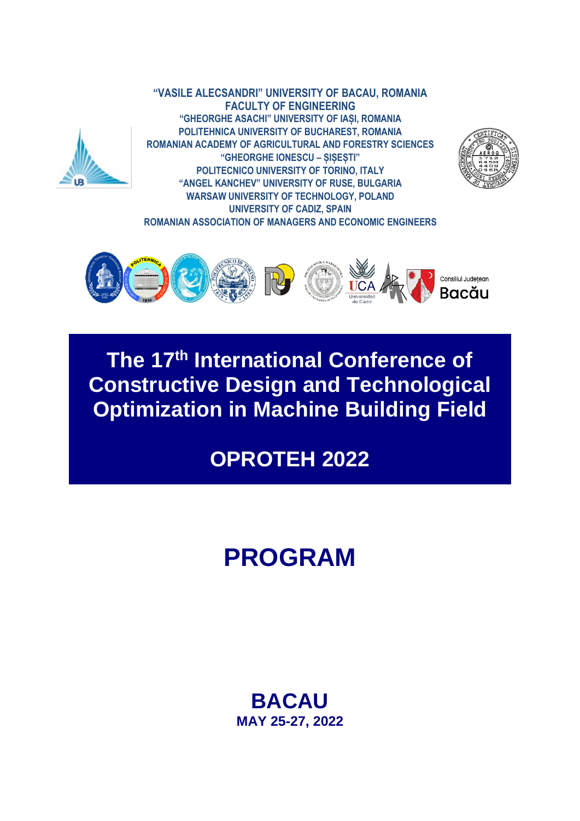

**"VASILE ALECSANDRI" UNIVERSITY OF BACAU, ROMANIA FACULTY OF ENGINEERING "GHEORGHE ASACHI" UNIVERSITY OF IAȘI, ROMANIA POLITEHNICA UNIVERSITY OF BUCHAREST, ROMANIA ROMANIAN ACADEMY OF AGRICULTURAL AND FORESTRY SCIENCES "GHEORGHE IONESCU – ȘIȘEȘTI" POLITECNICO UNIVERSITY OF TORINO, ITALY "ANGEL KANCHEV" UNIVERSITY OF RUSE, BULGARIA WARSAW UNIVERSITY OF TECHNOLOGY, POLAND UNIVERSITY OF CADIZ, SPAIN ROMANIAN ASSOCIATION OF MANAGERS AND ECONOMIC ENGINEERS**





## **The 17 th International Conference of Constructive Design and Technological Optimization in Machine Building Field**

## **OPROTEH 2022**

# **PROGRAM**

## **BACAU MAY 25-27, 2022**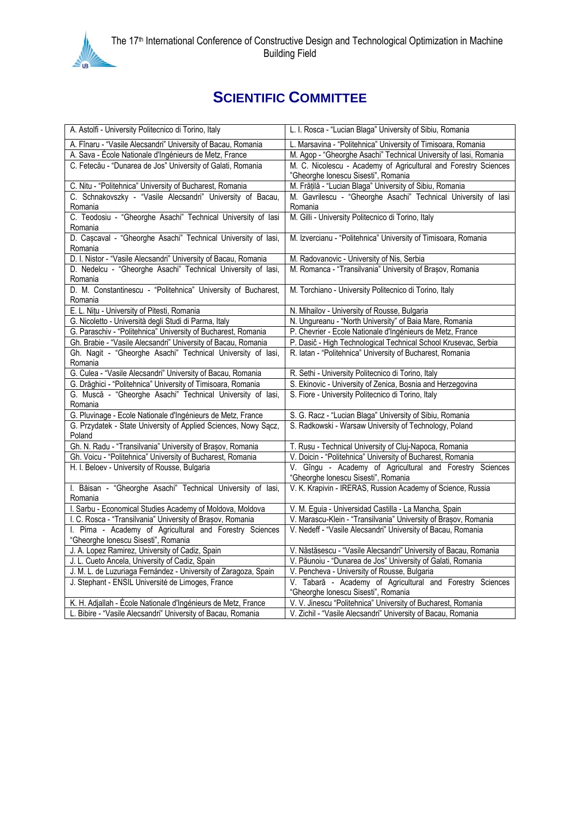

## **SCIENTIFIC COMMITTEE**

| A. Astolfi - University Politecnico di Torino, Italy                                                                       | L. I. Rosca - "Lucian Blaga" University of Sibiu, Romania                                                        |  |
|----------------------------------------------------------------------------------------------------------------------------|------------------------------------------------------------------------------------------------------------------|--|
| A. Fînaru - "Vasile Alecsandri" University of Bacau, Romania                                                               | L. Marsavina - "Politehnica" University of Timisoara, Romania                                                    |  |
| A. Sava - École Nationale d'Ingénieurs de Metz, France                                                                     | M. Agop - "Gheorghe Asachi" Technical University of lasi, Romania                                                |  |
| C. Fetecău - "Dunarea de Jos" University of Galati, Romania                                                                | M. C. Nicolescu - Academy of Agricultural and Forestry Sciences                                                  |  |
|                                                                                                                            | "Gheorghe Ionescu Sisesti", Romania                                                                              |  |
| C. Nitu - "Politehnica" University of Bucharest, Romania                                                                   | M. Frățilă - "Lucian Blaga" University of Sibiu, Romania                                                         |  |
| C. Schnakovszky - "Vasile Alecsandri" University of Bacau,                                                                 | M. Gavrilescu - "Gheorghe Asachi" Technical University of lasi                                                   |  |
| Romania                                                                                                                    | Romania                                                                                                          |  |
| C. Teodosiu - "Gheorghe Asachi" Technical University of lasi                                                               | M. Gilli - University Politecnico di Torino, Italy                                                               |  |
| Romania                                                                                                                    |                                                                                                                  |  |
| D. Cașcaval - "Gheorghe Asachi" Technical University of lasi,                                                              | M. Izvercianu - "Politehnica" University of Timisoara, Romania                                                   |  |
| Romania                                                                                                                    |                                                                                                                  |  |
| D. I. Nistor - "Vasile Alecsandri" University of Bacau, Romania                                                            | M. Radovanovic - University of Nis, Serbia                                                                       |  |
| D. Nedelcu - "Gheorghe Asachi" Technical University of lasi,                                                               | M. Romanca - "Transilvania" University of Brașov, Romania                                                        |  |
| Romania                                                                                                                    |                                                                                                                  |  |
| D. M. Constantinescu - "Politehnica" University of Bucharest,                                                              | M. Torchiano - University Politecnico di Torino, Italy                                                           |  |
| Romania                                                                                                                    |                                                                                                                  |  |
| E. L. Nițu - University of Pitesti, Romania                                                                                | N. Mihailov - University of Rousse, Bulgaria                                                                     |  |
| G. Nicoletto - Università degli Studi di Parma, Italy                                                                      | N. Ungureanu - "North University" of Baia Mare, Romania                                                          |  |
| G. Paraschiv - "Politehnica" University of Bucharest, Romania                                                              | P. Chevrier - Ecole Nationale d'Ingénieurs de Metz, France                                                       |  |
| Gh. Brabie - "Vasile Alecsandri" University of Bacau, Romania                                                              | P. Dasič - High Technological Technical School Krusevac, Serbia                                                  |  |
| Gh. Nagit - "Gheorghe Asachi" Technical University of lasi,                                                                | R. latan - "Politehnica" University of Bucharest, Romania                                                        |  |
| Romania                                                                                                                    |                                                                                                                  |  |
| G. Culea - "Vasile Alecsandri" University of Bacau, Romania                                                                | R. Sethi - University Politecnico di Torino, Italy                                                               |  |
| G. Drăghici - "Politehnica" University of Timisoara, Romania<br>G. Muscă - "Gheorghe Asachi" Technical University of lasi, | S. Ekinovic - University of Zenica, Bosnia and Herzegovina<br>S. Fiore - University Politecnico di Torino, Italy |  |
| Romania                                                                                                                    |                                                                                                                  |  |
| G. Pluvinage - Ecole Nationale d'Ingénieurs de Metz, France                                                                | S. G. Racz - "Lucian Blaga" University of Sibiu, Romania                                                         |  |
| G. Przydatek - State University of Applied Sciences, Nowy Sącz,                                                            | S. Radkowski - Warsaw University of Technology, Poland                                                           |  |
| Poland                                                                                                                     |                                                                                                                  |  |
| Gh. N. Radu - "Transilvania" University of Brașov, Romania                                                                 | T. Rusu - Technical University of Cluj-Napoca, Romania                                                           |  |
| Gh. Voicu - "Politehnica" University of Bucharest, Romania                                                                 | V. Doicin - "Politehnica" University of Bucharest, Romania                                                       |  |
| H. I. Beloev - University of Rousse, Bulgaria                                                                              | V. Gîngu - Academy of Agricultural and Forestry Sciences                                                         |  |
|                                                                                                                            | "Gheorghe Ionescu Sisesti", Romania                                                                              |  |
| I. Băisan - "Gheorghe Asachi" Technical University of lasi,                                                                | V. K. Krapivin - IRERAS, Russion Academy of Science, Russia                                                      |  |
| Romania                                                                                                                    |                                                                                                                  |  |
| I. Sarbu - Economical Studies Academy of Moldova, Moldova                                                                  | V. M. Eguia - Universidad Castilla - La Mancha, Spain                                                            |  |
| I. C. Rosca - "Transilvania" University of Brașov, Romania                                                                 | V. Marascu-Klein - "Transilvania" University of Brașov, Romania                                                  |  |
| I. Pirna - Academy of Agricultural and Forestry Sciences                                                                   | V. Nedeff - "Vasile Alecsandri" University of Bacau, Romania                                                     |  |
| "Gheorghe Ionescu Sisesti", Romania                                                                                        |                                                                                                                  |  |
| J. A. Lopez Ramirez, University of Cadiz, Spain                                                                            | V. Năstăsescu - "Vasile Alecsandri" University of Bacau, Romania                                                 |  |
| J. L. Cueto Ancela, University of Cadiz, Spain                                                                             | V. Păunoiu - "Dunarea de Jos" University of Galati, Romania                                                      |  |
| J. M. L. de Luzuriaga Fernández - University of Zaragoza, Spain                                                            | V. Pencheva - University of Rousse, Bulgaria                                                                     |  |
| J. Stephant - ENSIL Université de Limoges, France                                                                          | V. Tabară - Academy of Agricultural and Forestry Sciences                                                        |  |
|                                                                                                                            | "Gheorghe Ionescu Sisesti", Romania                                                                              |  |
| K. H. Adjallah - École Nationale d'Ingénieurs de Metz, France                                                              | V. V. Jinescu "Politehnica" University of Bucharest, Romania                                                     |  |
| L. Bibire - "Vasile Alecsandri" University of Bacau, Romania                                                               | V. Zichil - "Vasile Alecsandri" University of Bacau, Romania                                                     |  |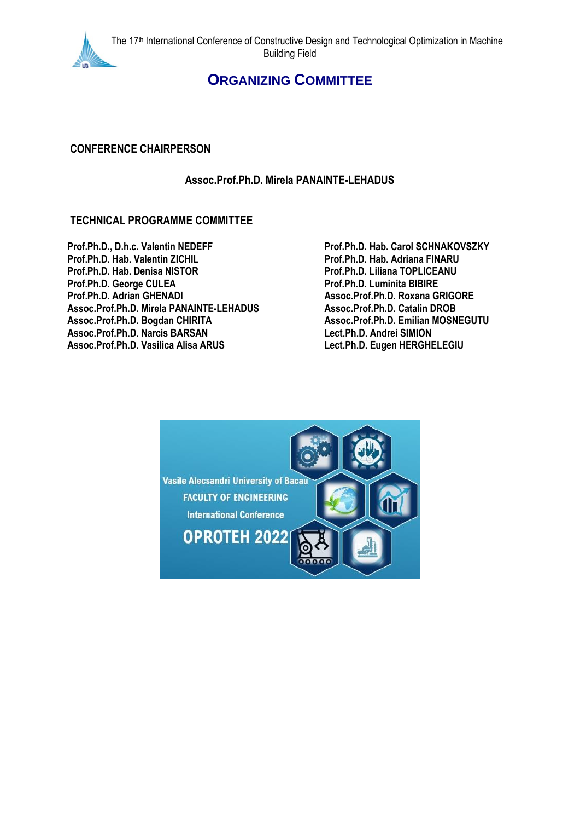

## **ORGANIZING COMMITTEE**

#### **CONFERENCE CHAIRPERSON**

#### **Assoc.Prof.Ph.D. Mirela PANAINTE-LEHADUS**

#### **TECHNICAL PROGRAMME COMMITTEE**

**Prof.Ph.D., D.h.c. Valentin NEDEFF Prof.Ph.D. Hab. Carol SCHNAKOVSZKY Prof.Ph.D. Hab. Valentin ZICHIL Prof.Ph.D. Hab. Adriana FINARU Prof.Ph.D. Hab. Denisa NISTOR Prof.Ph.D. Liliana TOPLICEANU Prof.Ph.D. George CULEA**<br>**Prof.Ph.D. Adrian GHENADI Assoc.Prof.Ph.D. Mirela PANAINTE-LEHADUS Assoc.Prof.Ph.D. Catalin DROB Assoc.Prof.Ph.D. Bogdan CHIRITA Assoc.Prof.Ph.D. Emilian MOSNEGUTU Assoc.Prof.Ph.D. Narcis BARSAN Lect.Ph.D. Andrei SIMION Assoc.Prof.Ph.D. Vasilica Alisa ARUS Lect.Ph.D. Eugen HERGHELEGIU**

**Prof.Ph.D. Adrian GHENADI Assoc.Prof.Ph.D. Roxana GRIGORE**

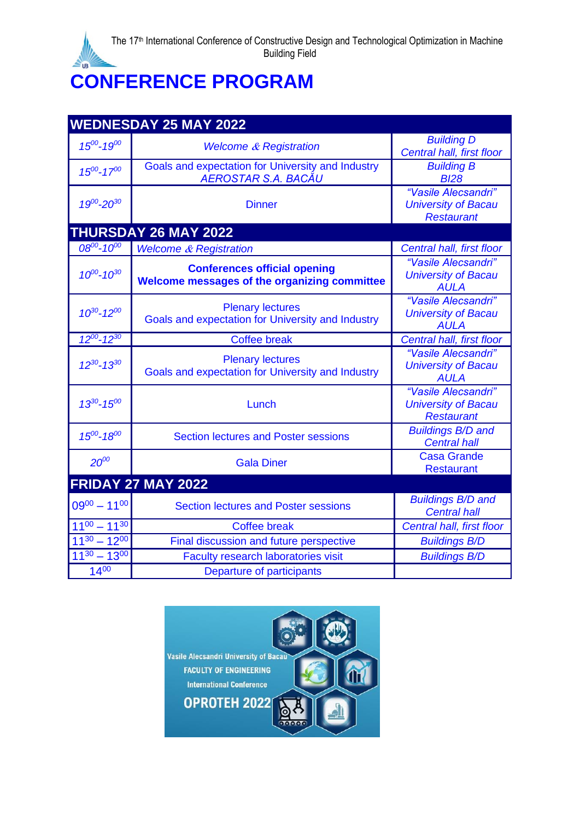## **CONFERENCE PROGRAM**

| <b>WEDNESDAY 25 MAY 2022</b> |                                                                                     |                                                                        |  |
|------------------------------|-------------------------------------------------------------------------------------|------------------------------------------------------------------------|--|
| $15^{00} - 19^{00}$          | <b>Welcome &amp; Registration</b>                                                   | <b>Building D</b><br>Central hall, first floor                         |  |
| $15^{00} - 17^{00}$          | Goals and expectation for University and Industry<br>AEROSTAR S.A. BACĂU            | <b>Building B</b><br><b>BI28</b>                                       |  |
| $19^{00} - 20^{30}$          | <b>Dinner</b>                                                                       | "Vasile Alecsandri"<br><b>University of Bacau</b><br><b>Restaurant</b> |  |
|                              | <b>THURSDAY 26 MAY 2022</b>                                                         |                                                                        |  |
| $08^{00} - 10^{00}$          | <b>Welcome &amp; Registration</b>                                                   | <b>Central hall, first floor</b>                                       |  |
| $10^{00} - 10^{30}$          | <b>Conferences official opening</b><br>Welcome messages of the organizing committee | "Vasile Alecsandri"<br><b>University of Bacau</b><br><b>AULA</b>       |  |
| $10^{30} - 12^{00}$          | <b>Plenary lectures</b><br>Goals and expectation for University and Industry        | "Vasile Alecsandri"<br><b>University of Bacau</b><br>AULA              |  |
| $12^{00} - 12^{30}$          | <b>Coffee break</b>                                                                 | <b>Central hall, first floor</b>                                       |  |
| $12^{30} - 13^{30}$          | <b>Plenary lectures</b><br>Goals and expectation for University and Industry        | "Vasile Alecsandri"<br><b>University of Bacau</b><br><b>AULA</b>       |  |
| $13^{30} - 15^{00}$          | Lunch                                                                               | "Vasile Alecsandri"<br><b>University of Bacau</b><br><b>Restaurant</b> |  |
| $15^{00} - 18^{00}$          | <b>Section lectures and Poster sessions</b>                                         | <b>Buildings B/D and</b><br><b>Central hall</b>                        |  |
| $20^{00}$                    | <b>Gala Diner</b>                                                                   | <b>Casa Grande</b><br><b>Restaurant</b>                                |  |
| <b>FRIDAY 27 MAY 2022</b>    |                                                                                     |                                                                        |  |
| $09^{00} - 11^{00}$          | <b>Section lectures and Poster sessions</b>                                         | <b>Buildings B/D and</b><br><b>Central hall</b>                        |  |
| $11^{00} - 11^{30}$          | <b>Coffee break</b>                                                                 | Central hall, first floor                                              |  |
| $11^{30} - 12^{00}$          | Final discussion and future perspective                                             | <b>Buildings B/D</b>                                                   |  |
| $11^{30} - 13^{00}$          | Faculty research laboratories visit                                                 | <b>Buildings B/D</b>                                                   |  |
| $14^{00}$                    | <b>Departure of participants</b>                                                    |                                                                        |  |

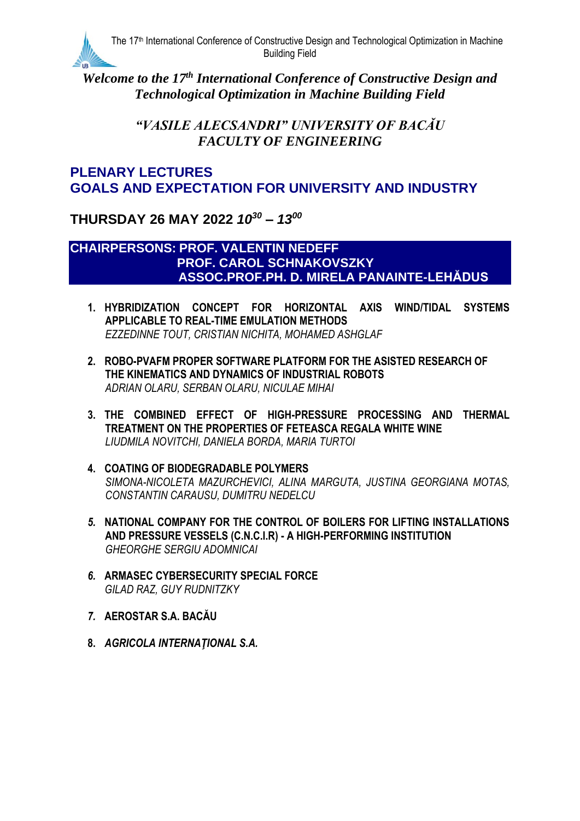

Welcome to the 17<sup>th</sup> International Conference of Constructive Design and *Technological Optimization in Machine Building Field*

> *"VASILE ALECSANDRI" UNIVERSITY OF BACĂU FACULTY OF ENGINEERING*

## **PLENARY LECTURES GOALS AND EXPECTATION FOR UNIVERSITY AND INDUSTRY**

**THURSDAY 26 MAY 2022** *10 <sup>30</sup> – 13 00*

#### **CHAIRPERSONS: PROF. VALENTIN NEDEFF PROF. CAROL SCHNAKOVSZKY ASSOC.PROF.PH. D. MIRELA PANAINTE-LEHĂDUS**

- **1. HYBRIDIZATION CONCEPT FOR HORIZONTAL AXIS WIND/TIDAL SYSTEMS APPLICABLE TO REAL-TIME EMULATION METHODS** *EZZEDINNE TOUT, CRISTIAN NICHITA, MOHAMED ASHGLAF*
- **2. ROBO-PVAFM PROPER SOFTWARE PLATFORM FOR THE ASISTED RESEARCH OF THE KINEMATICS AND DYNAMICS OF INDUSTRIAL ROBOTS** *ADRIAN OLARU, SERBAN OLARU, NICULAE MIHAI*
- **3. THE COMBINED EFFECT OF HIGH-PRESSURE PROCESSING AND THERMAL TREATMENT ON THE PROPERTIES OF FETEASCA REGALA WHITE WINE** *LIUDMILA NOVITCHI, DANIELA BORDA, MARIA TURTOI*
- **4. COATING OF BIODEGRADABLE POLYMERS** *SIMONA-NICOLETA MAZURCHEVICI, ALINA MARGUTA, JUSTINA GEORGIANA MOTAS, CONSTANTIN CARAUSU, DUMITRU NEDELCU*
- *5.* **NATIONAL COMPANY FOR THE CONTROL OF BOILERS FOR LIFTING INSTALLATIONS AND PRESSURE VESSELS (C.N.C.I.R) - A HIGH-PERFORMING INSTITUTION** *GHEORGHE SERGIU ADOMNICAI*
- *6.* **ARMASEC CYBERSECURITY SPECIAL FORCE** *GILAD RAZ, GUY RUDNITZKY*
- *7.* **AEROSTAR S.A. BACĂU**
- **8.** *AGRICOLA INTERNAŢIONAL S.A.*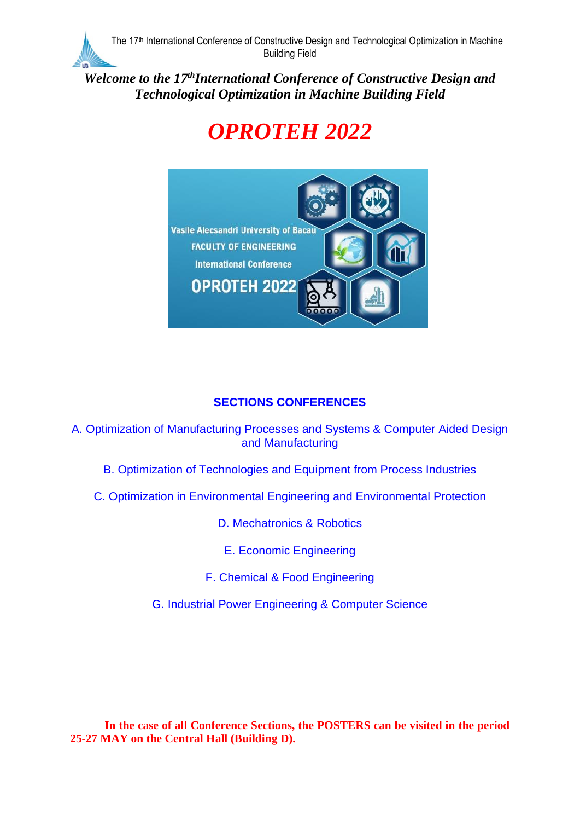*Welcome to the 17 thInternational Conference of Constructive Design and Technological Optimization in Machine Building Field*

# *OPROTEH 2022*



## **SECTIONS CONFERENCES**

A. Optimization of Manufacturing Processes and Systems & Computer Aided Design and Manufacturing

- B. Optimization of Technologies and Equipment from Process Industries
- C. Optimization in Environmental Engineering and Environmental Protection

D. Mechatronics & Robotics

E. Economic Engineering

F. Chemical & Food Engineering

G. Industrial Power Engineering & Computer Science

**In the case of all Conference Sections, the POSTERS can be visited in the period 25-27 MAY on the Central Hall (Building D).**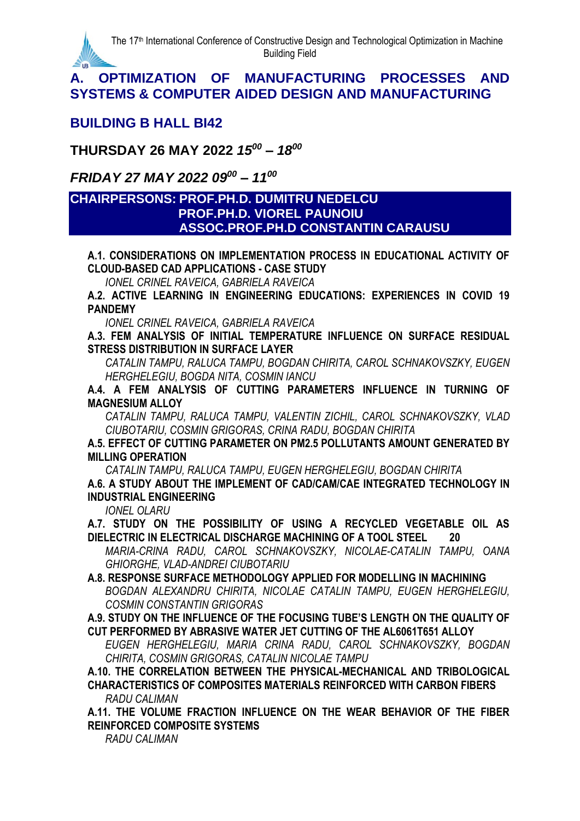

#### **BUILDING B HALL BI42**

**THURSDAY 26 MAY 2022** *15 <sup>00</sup> – 18 00*

*FRIDAY 27 MAY 2022 09<sup>00</sup> – 11 00*

#### **CHAIRPERSONS: PROF.PH.D. DUMITRU NEDELCU PROF.PH.D. VIOREL PAUNOIU ASSOC.PROF.PH.D CONSTANTIN CARAUSU**

**A.1. CONSIDERATIONS ON IMPLEMENTATION PROCESS IN EDUCATIONAL ACTIVITY OF CLOUD-BASED CAD APPLICATIONS - CASE STUDY**

*IONEL CRINEL RAVEICA, GABRIELA RAVEICA*

**A.2. ACTIVE LEARNING IN ENGINEERING EDUCATIONS: EXPERIENCES IN COVID 19 PANDEMY**

*IONEL CRINEL RAVEICA, GABRIELA RAVEICA*

**A.3. FEM ANALYSIS OF INITIAL TEMPERATURE INFLUENCE ON SURFACE RESIDUAL STRESS DISTRIBUTION IN SURFACE LAYER**

*CATALIN TAMPU, RALUCA TAMPU, BOGDAN CHIRITA, CAROL SCHNAKOVSZKY, EUGEN HERGHELEGIU, BOGDA NITA, COSMIN IANCU*

**A.4. A FEM ANALYSIS OF CUTTING PARAMETERS INFLUENCE IN TURNING OF MAGNESIUM ALLOY**

*CATALIN TAMPU, RALUCA TAMPU, VALENTIN ZICHIL, CAROL SCHNAKOVSZKY, VLAD CIUBOTARIU, COSMIN GRIGORAS, CRINA RADU, BOGDAN CHIRITA*

**A.5. EFFECT OF CUTTING PARAMETER ON PM2.5 POLLUTANTS AMOUNT GENERATED BY MILLING OPERATION**

*CATALIN TAMPU, RALUCA TAMPU, EUGEN HERGHELEGIU, BOGDAN CHIRITA*

**A.6. A STUDY ABOUT THE IMPLEMENT OF CAD/CAM/CAE INTEGRATED TECHNOLOGY IN INDUSTRIAL ENGINEERING**

*IONEL OLARU*

**A.7. STUDY ON THE POSSIBILITY OF USING A RECYCLED VEGETABLE OIL AS DIELECTRIC IN ELECTRICAL DISCHARGE MACHINING OF A TOOL STEEL 20**

*MARIA-CRINA RADU, CAROL SCHNAKOVSZKY, NICOLAE-CATALIN TAMPU, OANA GHIORGHE, VLAD-ANDREI CIUBOTARIU*

**A.8. RESPONSE SURFACE METHODOLOGY APPLIED FOR MODELLING IN MACHINING** *BOGDAN ALEXANDRU CHIRITA, NICOLAE CATALIN TAMPU, EUGEN HERGHELEGIU, COSMIN CONSTANTIN GRIGORAS*

**A.9. STUDY ON THE INFLUENCE OF THE FOCUSING TUBE'S LENGTH ON THE QUALITY OF CUT PERFORMED BY ABRASIVE WATER JET CUTTING OF THE AL6061T651 ALLOY**

*EUGEN HERGHELEGIU, MARIA CRINA RADU, CAROL SCHNAKOVSZKY, BOGDAN CHIRITA, COSMIN GRIGORAS, CATALIN NICOLAE TAMPU*

**A.10. THE CORRELATION BETWEEN THE PHYSICAL-MECHANICAL AND TRIBOLOGICAL CHARACTERISTICS OF COMPOSITES MATERIALS REINFORCED WITH CARBON FIBERS** *RADU CALIMAN*

**A.11. THE VOLUME FRACTION INFLUENCE ON THE WEAR BEHAVIOR OF THE FIBER REINFORCED COMPOSITE SYSTEMS**

*RADU CALIMAN*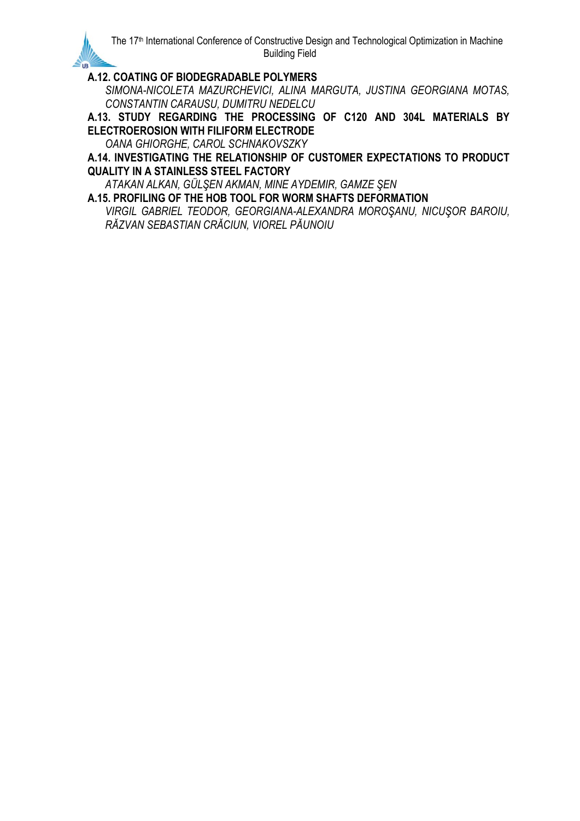#### **A.12. COATING OF BIODEGRADABLE POLYMERS**

*SIMONA-NICOLETA MAZURCHEVICI, ALINA MARGUTA, JUSTINA GEORGIANA MOTAS, CONSTANTIN CARAUSU, DUMITRU NEDELCU*

**A.13. STUDY REGARDING THE PROCESSING OF C120 AND 304L MATERIALS BY ELECTROEROSION WITH FILIFORM ELECTRODE**

*OANA GHIORGHE, CAROL SCHNAKOVSZKY*

**A.14. INVESTIGATING THE RELATIONSHIP OF CUSTOMER EXPECTATIONS TO PRODUCT QUALITY IN A STAINLESS STEEL FACTORY**

*ATAKAN ALKAN, GÜLŞEN AKMAN, MINE AYDEMIR, GAMZE ŞEN*

**A.15. PROFILING OF THE HOB TOOL FOR WORM SHAFTS DEFORMATION** *VIRGIL GABRIEL TEODOR, GEORGIANA-ALEXANDRA MOROŞANU, NICUŞOR BAROIU, RĂZVAN SEBASTIAN CRĂCIUN, VIOREL PĂUNOIU*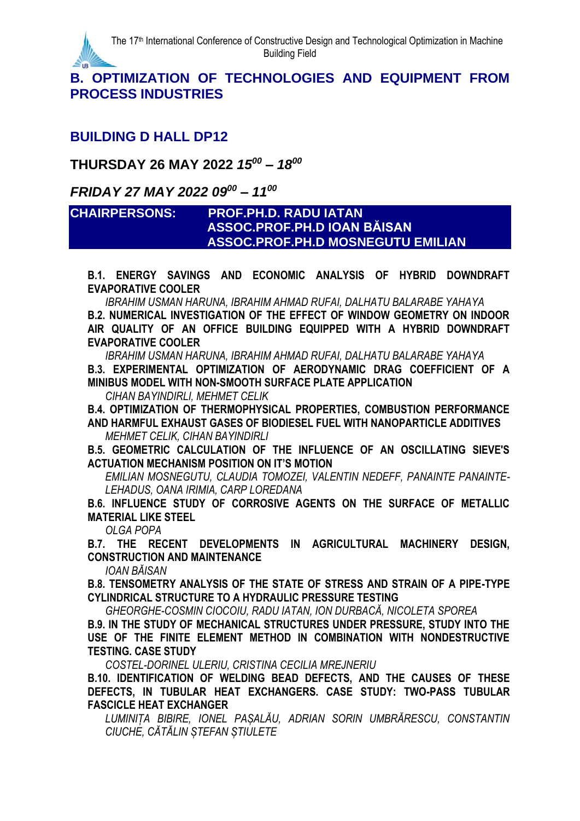

#### **B. OPTIMIZATION OF TECHNOLOGIES AND EQUIPMENT FROM PROCESS INDUSTRIES**

#### **BUILDING D HALL DP12**

## **THURSDAY 26 MAY 2022** *15 <sup>00</sup> – 18 00*

#### *FRIDAY 27 MAY 2022 09<sup>00</sup> – 11 00*

#### **CHAIRPERSONS: PROF.PH.D. RADU IATAN ASSOC.PROF.PH.D IOAN BĂISAN ASSOC.PROF.PH.D MOSNEGUTU EMILIAN**

**B.1. ENERGY SAVINGS AND ECONOMIC ANALYSIS OF HYBRID DOWNDRAFT EVAPORATIVE COOLER**

*IBRAHIM USMAN HARUNA, IBRAHIM AHMAD RUFAI, DALHATU BALARABE YAHAYA* **B.2. NUMERICAL INVESTIGATION OF THE EFFECT OF WINDOW GEOMETRY ON INDOOR AIR QUALITY OF AN OFFICE BUILDING EQUIPPED WITH A HYBRID DOWNDRAFT EVAPORATIVE COOLER**

*IBRAHIM USMAN HARUNA, IBRAHIM AHMAD RUFAI, DALHATU BALARABE YAHAYA* **B.3. EXPERIMENTAL OPTIMIZATION OF AERODYNAMIC DRAG COEFFICIENT OF A MINIBUS MODEL WITH NON-SMOOTH SURFACE PLATE APPLICATION**

*CIHAN BAYINDIRLI, MEHMET CELIK*

**B.4. OPTIMIZATION OF THERMOPHYSICAL PROPERTIES, COMBUSTION PERFORMANCE AND HARMFUL EXHAUST GASES OF BIODIESEL FUEL WITH NANOPARTICLE ADDITIVES**

*MEHMET CELIK, CIHAN BAYINDIRLI*

**B.5. GEOMETRIC CALCULATION OF THE INFLUENCE OF AN OSCILLATING SIEVE'S ACTUATION MECHANISM POSITION ON IT'S MOTION**

*EMILIAN MOSNEGUTU, CLAUDIA TOMOZEI, VALENTIN NEDEFF, PANAINTE PANAINTE-LEHADUS, OANA IRIMIA, CARP LOREDANA*

**B.6. INFLUENCE STUDY OF CORROSIVE AGENTS ON THE SURFACE OF METALLIC MATERIAL LIKE STEEL**

*OLGA POPA* 

**B.7. THE RECENT DEVELOPMENTS IN AGRICULTURAL MACHINERY DESIGN, CONSTRUCTION AND MAINTENANCE**

*IOAN BĂISAN*

**B.8. TENSOMETRY ANALYSIS OF THE STATE OF STRESS AND STRAIN OF A PIPE-TYPE CYLINDRICAL STRUCTURE TO A HYDRAULIC PRESSURE TESTING**

*GHEORGHE-COSMIN CIOCOIU, RADU IATAN, ION DURBACĂ, NICOLETA SPOREA*

**B.9. IN THE STUDY OF MECHANICAL STRUCTURES UNDER PRESSURE, STUDY INTO THE USE OF THE FINITE ELEMENT METHOD IN COMBINATION WITH NONDESTRUCTIVE TESTING. CASE STUDY**

*COSTEL-DORINEL ULERIU, CRISTINA CECILIA MREJNERIU*

**B.10. IDENTIFICATION OF WELDING BEAD DEFECTS, AND THE CAUSES OF THESE DEFECTS, IN TUBULAR HEAT EXCHANGERS. CASE STUDY: TWO-PASS TUBULAR FASCICLE HEAT EXCHANGER**

*LUMINIȚA BIBIRE, IONEL PAȘALĂU, ADRIAN SORIN UMBRĂRESCU, CONSTANTIN CIUCHE, CĂTĂLIN ȘTEFAN ȘTIULETE*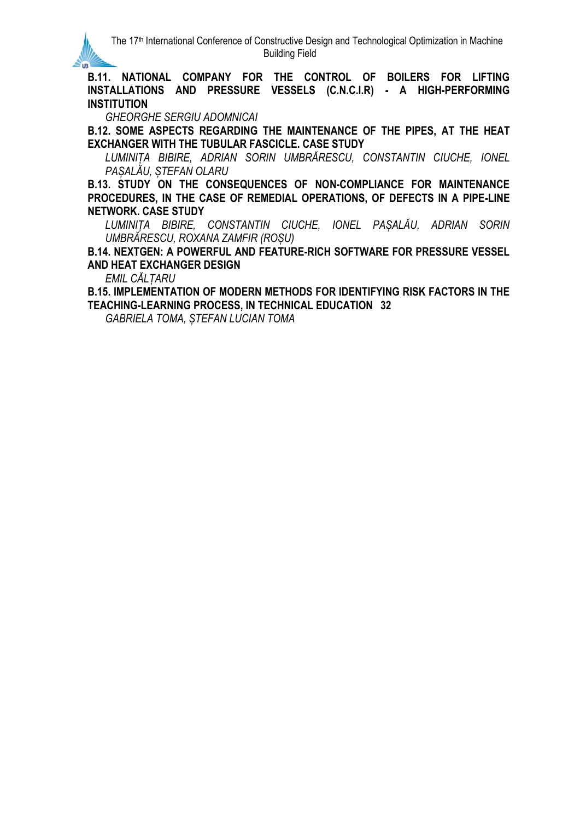**B.11. NATIONAL COMPANY FOR THE CONTROL OF BOILERS FOR LIFTING INSTALLATIONS AND PRESSURE VESSELS (C.N.C.I.R) - A HIGH-PERFORMING INSTITUTION**

*GHEORGHE SERGIU ADOMNICAI*

**B.12. SOME ASPECTS REGARDING THE MAINTENANCE OF THE PIPES, AT THE HEAT EXCHANGER WITH THE TUBULAR FASCICLE. CASE STUDY**

*LUMINIȚA BIBIRE, ADRIAN SORIN UMBRĂRESCU, CONSTANTIN CIUCHE, IONEL PAȘALĂU, ȘTEFAN OLARU*

**B.13. STUDY ON THE CONSEQUENCES OF NON-COMPLIANCE FOR MAINTENANCE PROCEDURES, IN THE CASE OF REMEDIAL OPERATIONS, OF DEFECTS IN A PIPE-LINE NETWORK. CASE STUDY**

*LUMINIȚA BIBIRE, CONSTANTIN CIUCHE, IONEL PAȘALĂU, ADRIAN SORIN UMBRĂRESCU, ROXANA ZAMFIR (ROȘU)*

**B.14. NEXTGEN: A POWERFUL AND FEATURE-RICH SOFTWARE FOR PRESSURE VESSEL AND HEAT EXCHANGER DESIGN**

*EMIL CĂLȚARU*

**B.15. IMPLEMENTATION OF MODERN METHODS FOR IDENTIFYING RISK FACTORS IN THE TEACHING-LEARNING PROCESS, IN TECHNICAL EDUCATION 32**

*GABRIELA TOMA, ȘTEFAN LUCIAN TOMA*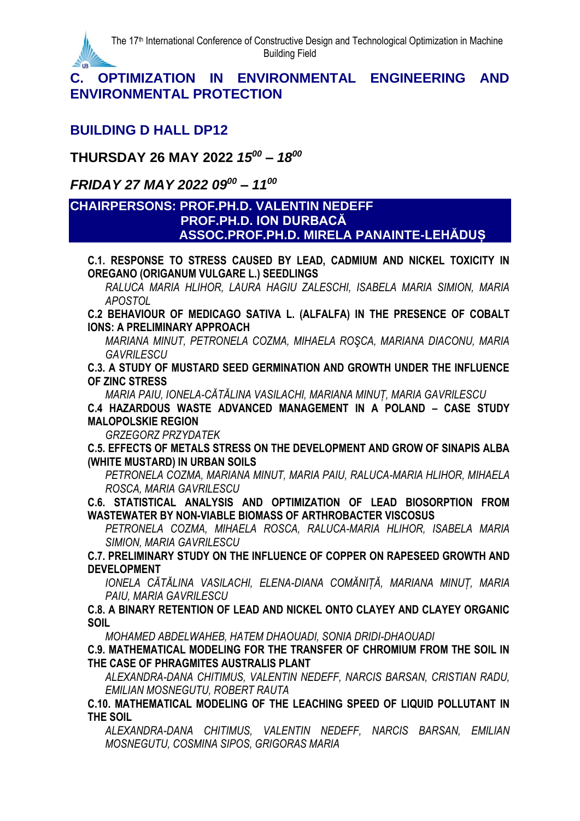

#### **C. OPTIMIZATION IN ENVIRONMENTAL ENGINEERING AND ENVIRONMENTAL PROTECTION**

## **BUILDING D HALL DP12**

**THURSDAY 26 MAY 2022** *15 <sup>00</sup> – 18 00*

*FRIDAY 27 MAY 2022 09<sup>00</sup> – 11 00*

#### **CHAIRPERSONS: PROF.PH.D. VALENTIN NEDEFF PROF.PH.D. ION DURBACĂ ASSOC.PROF.PH.D. MIRELA PANAINTE-LEHĂDUȘ**

**C.1. RESPONSE TO STRESS CAUSED BY LEAD, CADMIUM AND NICKEL TOXICITY IN OREGANO (ORIGANUM VULGARE L.) SEEDLINGS**

*RALUCA MARIA HLIHOR, LAURA HAGIU ZALESCHI, ISABELA MARIA SIMION, MARIA APOSTOL*

**C.2 BEHAVIOUR OF MEDICAGO SATIVA L. (ALFALFA) IN THE PRESENCE OF COBALT IONS: A PRELIMINARY APPROACH**

*MARIANA MINUT, PETRONELA COZMA, MIHAELA ROŞCA, MARIANA DIACONU, MARIA GAVRILESCU*

**C.3. A STUDY OF MUSTARD SEED GERMINATION AND GROWTH UNDER THE INFLUENCE OF ZINC STRESS**

*MARIA PAIU, IONELA-CĂTĂLINA VASILACHI, MARIANA MINUȚ, MARIA GAVRILESCU*

**C.4 HAZARDOUS WASTE ADVANCED MANAGEMENT IN A POLAND – CASE STUDY MALOPOLSKIE REGION**

*GRZEGORZ PRZYDATEK*

**C.5. EFFECTS OF METALS STRESS ON THE DEVELOPMENT AND GROW OF SINAPIS ALBA (WHITE MUSTARD) IN URBAN SOILS**

*PETRONELA COZMA, MARIANA MINUT, MARIA PAIU, RALUCA-MARIA HLIHOR, MIHAELA ROSCA, MARIA GAVRILESCU*

**C.6. STATISTICAL ANALYSIS AND OPTIMIZATION OF LEAD BIOSORPTION FROM WASTEWATER BY NON-VIABLE BIOMASS OF ARTHROBACTER VISCOSUS**

*PETRONELA COZMA, MIHAELA ROSCA, RALUCA-MARIA HLIHOR, ISABELA MARIA SIMION, MARIA GAVRILESCU*

**C.7. PRELIMINARY STUDY ON THE INFLUENCE OF COPPER ON RAPESEED GROWTH AND DEVELOPMENT**

*IONELA CĂTĂLINA VASILACHI, ELENA-DIANA COMĂNIȚĂ, MARIANA MINUȚ, MARIA PAIU, MARIA GAVRILESCU*

**C.8. A BINARY RETENTION OF LEAD AND NICKEL ONTO CLAYEY AND CLAYEY ORGANIC SOIL**

*MOHAMED ABDELWAHEB, HATEM DHAOUADI, SONIA DRIDI-DHAOUADI*

**C.9. MATHEMATICAL MODELING FOR THE TRANSFER OF CHROMIUM FROM THE SOIL IN THE CASE OF PHRAGMITES AUSTRALIS PLANT**

*ALEXANDRA-DANA CHITIMUS, VALENTIN NEDEFF, NARCIS BARSAN, CRISTIAN RADU, EMILIAN MOSNEGUTU, ROBERT RAUTA*

**C.10. MATHEMATICAL MODELING OF THE LEACHING SPEED OF LIQUID POLLUTANT IN THE SOIL**

*ALEXANDRA-DANA CHITIMUS, VALENTIN NEDEFF, NARCIS BARSAN, EMILIAN MOSNEGUTU, COSMINA SIPOS, GRIGORAS MARIA*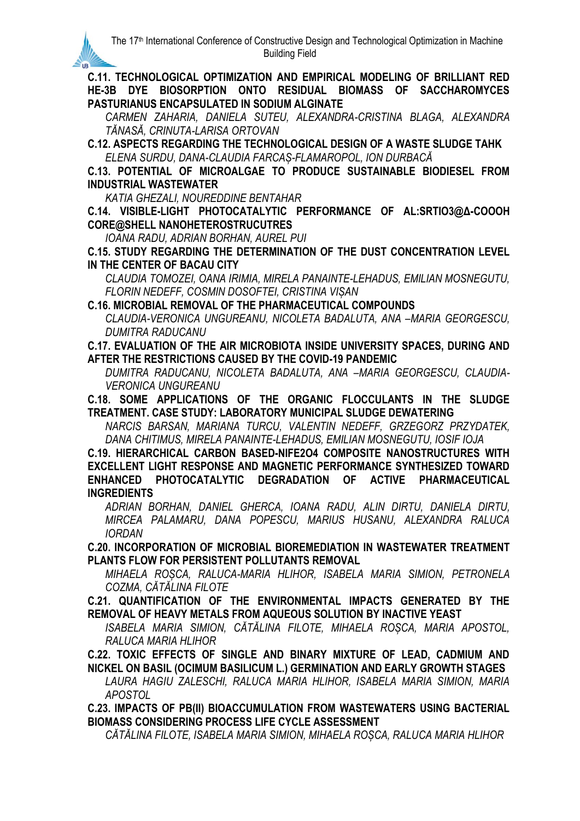**C.11. TECHNOLOGICAL OPTIMIZATION AND EMPIRICAL MODELING OF BRILLIANT RED HE-3B DYE BIOSORPTION ONTO RESIDUAL BIOMASS OF SACCHAROMYCES PASTURIANUS ENCAPSULATED IN SODIUM ALGINATE**

*CARMEN ZAHARIA, DANIELA SUTEU, ALEXANDRA-CRISTINA BLAGA, ALEXANDRA TĂNASĂ, CRINUTA-LARISA ORTOVAN*

**C.12. ASPECTS REGARDING THE TECHNOLOGICAL DESIGN OF A WASTE SLUDGE TAHK** *ELENA SURDU, DANA-CLAUDIA FARCAȘ-FLAMAROPOL, ION DURBACĂ*

**C.13. POTENTIAL OF MICROALGAE TO PRODUCE SUSTAINABLE BIODIESEL FROM INDUSTRIAL WASTEWATER**

*KATIA GHEZALI, NOUREDDINE BENTAHAR*

**IR** 

**C.14. VISIBLE-LIGHT PHOTOCATALYTIC PERFORMANCE OF AL:SRTIO3@Δ-COOOH CORE@SHELL NANOHETEROSTRUCUTRES**

*IOANA RADU, ADRIAN BORHAN, AUREL PUI*

**C.15. STUDY REGARDING THE DETERMINATION OF THE DUST CONCENTRATION LEVEL IN THE CENTER OF BACAU CITY**

*CLAUDIA TOMOZEI, OANA IRIMIA, MIRELA PANAINTE-LEHADUS, EMILIAN MOSNEGUTU, FLORIN NEDEFF, COSMIN DOSOFTEI, CRISTINA VIȘAN*

**C.16. MICROBIAL REMOVAL OF THE PHARMACEUTICAL COMPOUNDS**

*CLAUDIA-VERONICA UNGUREANU, NICOLETA BADALUTA, ANA –MARIA GEORGESCU, DUMITRA RADUCANU*

**C.17. EVALUATION OF THE AIR MICROBIOTA INSIDE UNIVERSITY SPACES, DURING AND AFTER THE RESTRICTIONS CAUSED BY THE COVID-19 PANDEMIC**

*DUMITRA RADUCANU, NICOLETA BADALUTA, ANA –MARIA GEORGESCU, CLAUDIA-VERONICA UNGUREANU*

**C.18. SOME APPLICATIONS OF THE ORGANIC FLOCCULANTS IN THE SLUDGE TREATMENT. CASE STUDY: LABORATORY MUNICIPAL SLUDGE DEWATERING**

*NARCIS BARSAN, MARIANA TURCU, VALENTIN NEDEFF, GRZEGORZ PRZYDATEK, DANA CHITIMUS, MIRELA PANAINTE-LEHADUS, EMILIAN MOSNEGUTU, IOSIF IOJA*

**C.19. HIERARCHICAL CARBON BASED-NIFE2O4 COMPOSITE NANOSTRUCTURES WITH EXCELLENT LIGHT RESPONSE AND MAGNETIC PERFORMANCE SYNTHESIZED TOWARD ENHANCED PHOTOCATALYTIC DEGRADATION OF ACTIVE PHARMACEUTICAL INGREDIENTS**

*ADRIAN BORHAN, DANIEL GHERCA, IOANA RADU, ALIN DIRTU, DANIELA DIRTU, MIRCEA PALAMARU, DANA POPESCU, MARIUS HUSANU, ALEXANDRA RALUCA IORDAN*

**C.20. INCORPORATION OF MICROBIAL BIOREMEDIATION IN WASTEWATER TREATMENT PLANTS FLOW FOR PERSISTENT POLLUTANTS REMOVAL**

*MIHAELA ROȘCA, RALUCA-MARIA HLIHOR, ISABELA MARIA SIMION, PETRONELA COZMA, CĂTĂLINA FILOTE*

**C.21. QUANTIFICATION OF THE ENVIRONMENTAL IMPACTS GENERATED BY THE REMOVAL OF HEAVY METALS FROM AQUEOUS SOLUTION BY INACTIVE YEAST**

*ISABELA MARIA SIMION, CĂTĂLINA FILOTE, MIHAELA ROȘCA, MARIA APOSTOL, RALUCA MARIA HLIHOR*

**C.22. TOXIC EFFECTS OF SINGLE AND BINARY MIXTURE OF LEAD, CADMIUM AND NICKEL ON BASIL (OCIMUM BASILICUM L.) GERMINATION AND EARLY GROWTH STAGES**

*LAURA HAGIU ZALESCHI, RALUCA MARIA HLIHOR, ISABELA MARIA SIMION, MARIA APOSTOL*

**C.23. IMPACTS OF PB(II) BIOACCUMULATION FROM WASTEWATERS USING BACTERIAL BIOMASS CONSIDERING PROCESS LIFE CYCLE ASSESSMENT**

*CĂTĂLINA FILOTE, ISABELA MARIA SIMION, MIHAELA ROȘCA, RALUCA MARIA HLIHOR*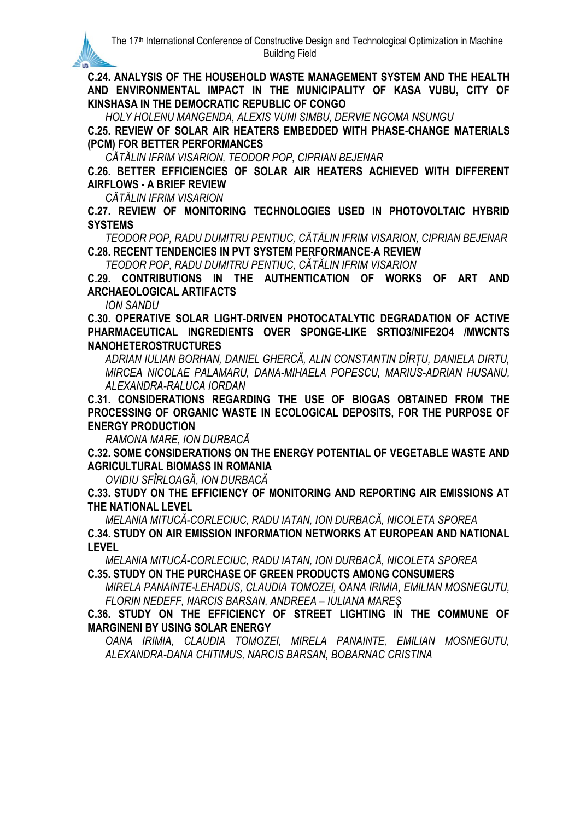**C.24. ANALYSIS OF THE HOUSEHOLD WASTE MANAGEMENT SYSTEM AND THE HEALTH AND ENVIRONMENTAL IMPACT IN THE MUNICIPALITY OF KASA VUBU, CITY OF KINSHASA IN THE DEMOCRATIC REPUBLIC OF CONGO**

*HOLY HOLENU MANGENDA, ALEXIS VUNI SIMBU, DERVIE NGOMA NSUNGU*

**C.25. REVIEW OF SOLAR AIR HEATERS EMBEDDED WITH PHASE-CHANGE MATERIALS (PCM) FOR BETTER PERFORMANCES**

*CĂTĂLIN IFRIM VISARION, TEODOR POP, CIPRIAN BEJENAR*

**C.26. BETTER EFFICIENCIES OF SOLAR AIR HEATERS ACHIEVED WITH DIFFERENT AIRFLOWS - A BRIEF REVIEW**

*CĂTĂLIN IFRIM VISARION*

**C.27. REVIEW OF MONITORING TECHNOLOGIES USED IN PHOTOVOLTAIC HYBRID SYSTEMS**

*TEODOR POP, RADU DUMITRU PENTIUC, CĂTĂLIN IFRIM VISARION, CIPRIAN BEJENAR* **C.28. RECENT TENDENCIES IN PVT SYSTEM PERFORMANCE-A REVIEW**

*TEODOR POP, RADU DUMITRU PENTIUC, CĂTĂLIN IFRIM VISARION*

**C.29. CONTRIBUTIONS IN THE AUTHENTICATION OF WORKS OF ART AND ARCHAEOLOGICAL ARTIFACTS**

*ION SANDU*

**IR** 

**C.30. OPERATIVE SOLAR LIGHT-DRIVEN PHOTOCATALYTIC DEGRADATION OF ACTIVE PHARMACEUTICAL INGREDIENTS OVER SPONGE-LIKE SRTIO3/NIFE2O4 /MWCNTS NANOHETEROSTRUCTURES**

*ADRIAN IULIAN BORHAN, DANIEL GHERCĂ, ALIN CONSTANTIN DÎRȚU, DANIELA DIRTU, MIRCEA NICOLAE PALAMARU, DANA-MIHAELA POPESCU, MARIUS-ADRIAN HUSANU, ALEXANDRA-RALUCA IORDAN*

**C.31. CONSIDERATIONS REGARDING THE USE OF BIOGAS OBTAINED FROM THE PROCESSING OF ORGANIC WASTE IN ECOLOGICAL DEPOSITS, FOR THE PURPOSE OF ENERGY PRODUCTION**

*RAMONA MARE, ION DURBACĂ*

**C.32. SOME CONSIDERATIONS ON THE ENERGY POTENTIAL OF VEGETABLE WASTE AND AGRICULTURAL BIOMASS IN ROMANIA**

*OVIDIU SFÎRLOAGĂ, ION DURBACĂ*

**C.33. STUDY ON THE EFFICIENCY OF MONITORING AND REPORTING AIR EMISSIONS AT THE NATIONAL LEVEL**

*MELANIA MITUCĂ-CORLECIUC, RADU IATAN, ION DURBACĂ, NICOLETA SPOREA* **C.34. STUDY ON AIR EMISSION INFORMATION NETWORKS AT EUROPEAN AND NATIONAL LEVEL**

*MELANIA MITUCĂ-CORLECIUC, RADU IATAN, ION DURBACĂ, NICOLETA SPOREA* **C.35. STUDY ON THE PURCHASE OF GREEN PRODUCTS AMONG CONSUMERS**

*MIRELA PANAINTE-LEHADUS, CLAUDIA TOMOZEI, OANA IRIMIA, EMILIAN MOSNEGUTU, FLORIN NEDEFF, NARCIS BARSAN, ANDREEA – IULIANA MAREȘ*

**C.36. STUDY ON THE EFFICIENCY OF STREET LIGHTING IN THE COMMUNE OF MARGINENI BY USING SOLAR ENERGY**

*OANA IRIMIA, CLAUDIA TOMOZEI, MIRELA PANAINTE, EMILIAN MOSNEGUTU, ALEXANDRA-DANA CHITIMUS, NARCIS BARSAN, BOBARNAC CRISTINA*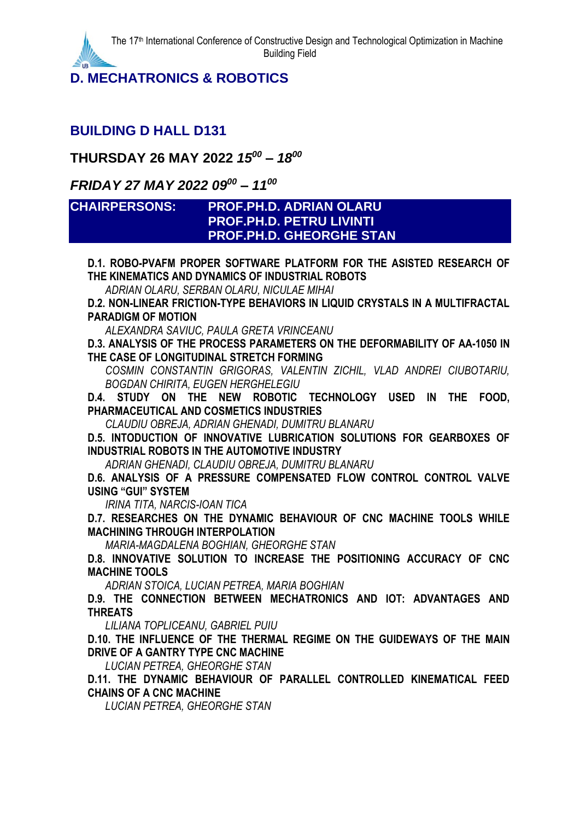**D. MECHATRONICS & ROBOTICS**

#### **BUILDING D HALL D131**

#### **THURSDAY 26 MAY 2022** *15 <sup>00</sup> – 18 00*

## *FRIDAY 27 MAY 2022 09<sup>00</sup> – 11 00*

#### **CHAIRPERSONS: PROF.PH.D. ADRIAN OLARU PROF.PH.D. PETRU LIVINTI PROF.PH.D. GHEORGHE STAN**

**D.1. ROBO-PVAFM PROPER SOFTWARE PLATFORM FOR THE ASISTED RESEARCH OF THE KINEMATICS AND DYNAMICS OF INDUSTRIAL ROBOTS**

*ADRIAN OLARU, SERBAN OLARU, NICULAE MIHAI*

**D.2. NON-LINEAR FRICTION-TYPE BEHAVIORS IN LIQUID CRYSTALS IN A MULTIFRACTAL PARADIGM OF MOTION**

*ALEXANDRA SAVIUC, PAULA GRETA VRINCEANU*

**D.3. ANALYSIS OF THE PROCESS PARAMETERS ON THE DEFORMABILITY OF AA-1050 IN THE CASE OF LONGITUDINAL STRETCH FORMING**

*COSMIN CONSTANTIN GRIGORAS, VALENTIN ZICHIL, VLAD ANDREI CIUBOTARIU, BOGDAN CHIRITA, EUGEN HERGHELEGIU*

**D.4. STUDY ON THE NEW ROBOTIC TECHNOLOGY USED IN THE FOOD, PHARMACEUTICAL AND COSMETICS INDUSTRIES**

*CLAUDIU OBREJA, ADRIAN GHENADI, DUMITRU BLANARU*

**D.5. INTODUCTION OF INNOVATIVE LUBRICATION SOLUTIONS FOR GEARBOXES OF INDUSTRIAL ROBOTS IN THE AUTOMOTIVE INDUSTRY**

*ADRIAN GHENADI, CLAUDIU OBREJA, DUMITRU BLANARU*

**D.6. ANALYSIS OF A PRESSURE COMPENSATED FLOW CONTROL CONTROL VALVE USING "GUI" SYSTEM**

*IRINA TITA, NARCIS-IOAN TICA*

**D.7. RESEARCHES ON THE DYNAMIC BEHAVIOUR OF CNC MACHINE TOOLS WHILE MACHINING THROUGH INTERPOLATION**

*MARIA-MAGDALENA BOGHIAN, GHEORGHE STAN*

**D.8. INNOVATIVE SOLUTION TO INCREASE THE POSITIONING ACCURACY OF CNC MACHINE TOOLS**

*ADRIAN STOICA, LUCIAN PETREA, MARIA BOGHIAN*

**D.9. THE CONNECTION BETWEEN MECHATRONICS AND IOT: ADVANTAGES AND THREATS**

*LILIANA TOPLICEANU, GABRIEL PUIU*

**D.10. THE INFLUENCE OF THE THERMAL REGIME ON THE GUIDEWAYS OF THE MAIN DRIVE OF A GANTRY TYPE CNC MACHINE**

*LUCIAN PETREA, GHEORGHE STAN*

**D.11. THE DYNAMIC BEHAVIOUR OF PARALLEL CONTROLLED KINEMATICAL FEED CHAINS OF A CNC MACHINE**

*LUCIAN PETREA, GHEORGHE STAN*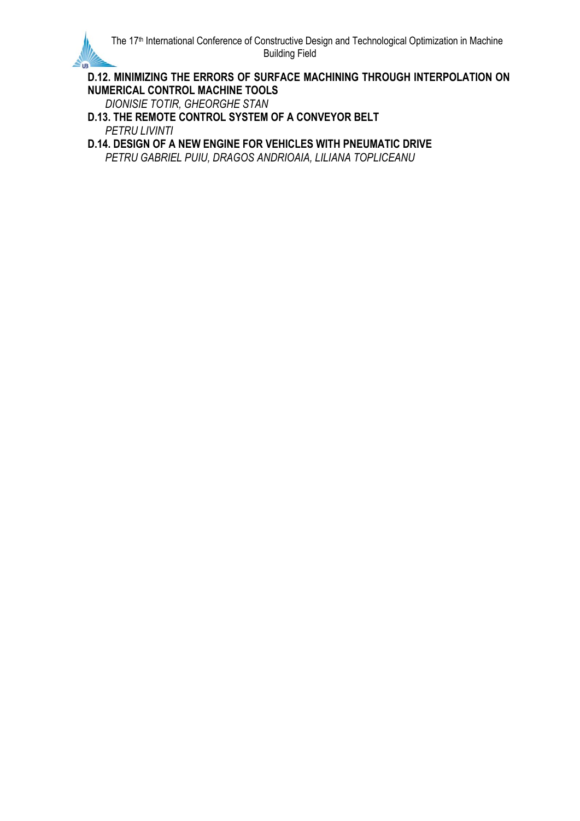

**D.12. MINIMIZING THE ERRORS OF SURFACE MACHINING THROUGH INTERPOLATION ON NUMERICAL CONTROL MACHINE TOOLS**

*DIONISIE TOTIR, GHEORGHE STAN*

**D.13. THE REMOTE CONTROL SYSTEM OF A CONVEYOR BELT** *PETRU LIVINTI*

**D.14. DESIGN OF A NEW ENGINE FOR VEHICLES WITH PNEUMATIC DRIVE** *PETRU GABRIEL PUIU, DRAGOS ANDRIOAIA, LILIANA TOPLICEANU*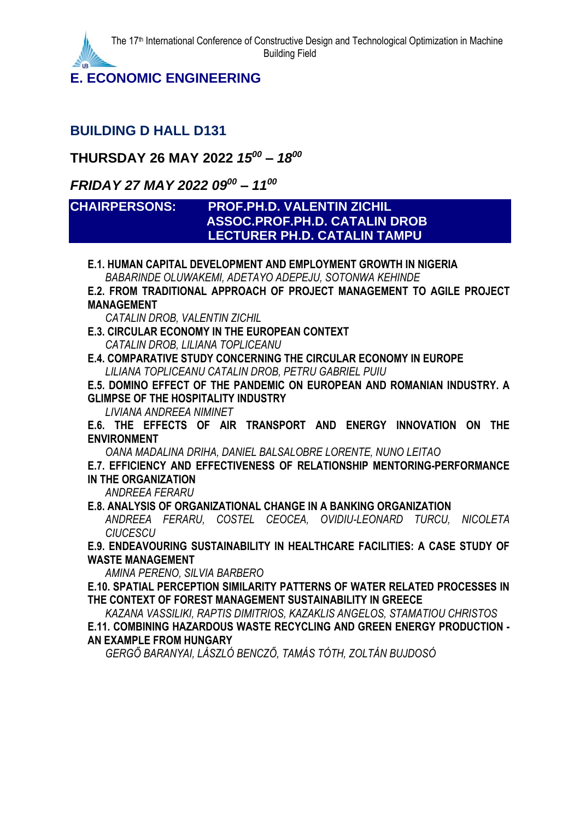**E. ECONOMIC ENGINEERING**

## **BUILDING D HALL D131**

## **THURSDAY 26 MAY 2022** *15 <sup>00</sup> – 18 00*

## *FRIDAY 27 MAY 2022 09<sup>00</sup> – 11 00*

#### **CHAIRPERSONS: PROF.PH.D. VALENTIN ZICHIL ASSOC.PROF.PH.D. CATALIN DROB LECTURER PH.D. CATALIN TAMPU**

**E.1. HUMAN CAPITAL DEVELOPMENT AND EMPLOYMENT GROWTH IN NIGERIA** *BABARINDE OLUWAKEMI, ADETAYO ADEPEJU, SOTONWA KEHINDE*

**E.2. FROM TRADITIONAL APPROACH OF PROJECT MANAGEMENT TO AGILE PROJECT MANAGEMENT**

*CATALIN DROB, VALENTIN ZICHIL*

**E.3. CIRCULAR ECONOMY IN THE EUROPEAN CONTEXT** *CATALIN DROB, LILIANA TOPLICEANU*

**E.4. COMPARATIVE STUDY CONCERNING THE CIRCULAR ECONOMY IN EUROPE** *LILIANA TOPLICEANU CATALIN DROB, PETRU GABRIEL PUIU*

**E.5. DOMINO EFFECT OF THE PANDEMIC ON EUROPEAN AND ROMANIAN INDUSTRY. A GLIMPSE OF THE HOSPITALITY INDUSTRY**

*LIVIANA ANDREEA NIMINET*

**E.6. THE EFFECTS OF AIR TRANSPORT AND ENERGY INNOVATION ON THE ENVIRONMENT**

*OANA MADALINA DRIHA, DANIEL BALSALOBRE LORENTE, NUNO LEITAO*

#### **E.7. EFFICIENCY AND EFFECTIVENESS OF RELATIONSHIP MENTORING-PERFORMANCE IN THE ORGANIZATION**

*ANDREEA FERARU*

**E.8. ANALYSIS OF ORGANIZATIONAL CHANGE IN A BANKING ORGANIZATION**

*ANDREEA FERARU, COSTEL CEOCEA, OVIDIU-LEONARD TURCU, NICOLETA CIUCESCU*

**E.9. ENDEAVOURING SUSTAINABILITY IN HEALTHCARE FACILITIES: A CASE STUDY OF WASTE MANAGEMENT**

*AMINA PERENO, SILVIA BARBERO*

**E.10. SPATIAL PERCEPTION SIMILARITY PATTERNS OF WATER RELATED PROCESSES IN THE CONTEXT OF FOREST MANAGEMENT SUSTAINABILITY IN GREECE**

*KAZANA VASSILIKI, RAPTIS DIMITRIOS, KAZAKLIS ANGELOS, STAMATIOU CHRISTOS* **E.11. COMBINING HAZARDOUS WASTE RECYCLING AND GREEN ENERGY PRODUCTION - AN EXAMPLE FROM HUNGARY**

*GERGŐ BARANYAI, LÁSZLÓ BENCZŐ, TAMÁS TÓTH, ZOLTÁN BUJDOSÓ*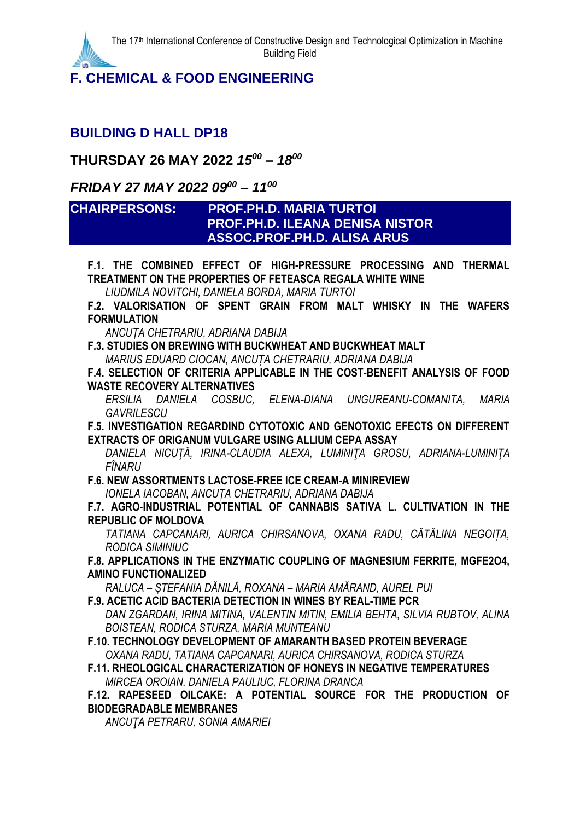**F. CHEMICAL & FOOD ENGINEERING**

## **BUILDING D HALL DP18**

## **THURSDAY 26 MAY 2022** *15 <sup>00</sup> – 18 00*

## *FRIDAY 27 MAY 2022 09<sup>00</sup> – 11 00*

#### **CHAIRPERSONS: PROF.PH.D. MARIA TURTOI PROF.PH.D. ILEANA DENISA NISTOR ASSOC.PROF.PH.D. ALISA ARUS**

**F.1. THE COMBINED EFFECT OF HIGH-PRESSURE PROCESSING AND THERMAL TREATMENT ON THE PROPERTIES OF FETEASCA REGALA WHITE WINE**

*LIUDMILA NOVITCHI, DANIELA BORDA, MARIA TURTOI*

**F.2. VALORISATION OF SPENT GRAIN FROM MALT WHISKY IN THE WAFERS FORMULATION**

*ANCUȚA CHETRARIU, ADRIANA DABIJA*

**F.3. STUDIES ON BREWING WITH BUCKWHEAT AND BUCKWHEAT MALT** *MARIUS EDUARD CIOCAN, ANCUȚA CHETRARIU, ADRIANA DABIJA*

**F.4. SELECTION OF CRITERIA APPLICABLE IN THE COST-BENEFIT ANALYSIS OF FOOD WASTE RECOVERY ALTERNATIVES**

*ERSILIA DANIELA COSBUC, ELENA-DIANA UNGUREANU-COMANITA, MARIA GAVRILESCU*

**F.5. INVESTIGATION REGARDIND CYTOTOXIC AND GENOTOXIC EFECTS ON DIFFERENT EXTRACTS OF ORIGANUM VULGARE USING ALLIUM CEPA ASSAY**

*DANIELA NICUŢĂ, IRINA-CLAUDIA ALEXA, LUMINIŢA GROSU, ADRIANA-LUMINIŢA FÎNARU*

**F.6. NEW ASSORTMENTS LACTOSE-FREE ICE CREAM-A MINIREVIEW**

*IONELA IACOBAN, ANCUȚA CHETRARIU, ADRIANA DABIJA*

**F.7. AGRO-INDUSTRIAL POTENTIAL OF CANNABIS SATIVA L. CULTIVATION IN THE REPUBLIC OF MOLDOVA**

*TATIANA CAPCANARI, AURICA CHIRSANOVA, OXANA RADU, CĂTĂLINA NEGOIȚA, RODICA SIMINIUC*

**F.8. APPLICATIONS IN THE ENZYMATIC COUPLING OF MAGNESIUM FERRITE, MGFE2O4, AMINO FUNCTIONALIZED**

*RALUCA – ȘTEFANIA DĂNILĂ, ROXANA – MARIA AMĂRAND, AUREL PUI*

**F.9. ACETIC ACID BACTERIA DETECTION IN WINES BY REAL-TIME PCR**

*DAN ZGARDAN, IRINA MITINA, VALENTIN MITIN, EMILIA BEHTA, SILVIA RUBTOV, ALINA BOISTEAN, RODICA STURZA, MARIA MUNTEANU*

## **F.10. TECHNOLOGY DEVELOPMENT OF AMARANTH BASED PROTEIN BEVERAGE**

*OXANA RADU, TATIANA CAPCANARI, AURICA CHIRSANOVA, RODICA STURZA*

**F.11. RHEOLOGICAL CHARACTERIZATION OF HONEYS IN NEGATIVE TEMPERATURES** *MIRCEA OROIAN, DANIELA PAULIUC, FLORINA DRANCA*

**F.12. RAPESEED OILCAKE: A POTENTIAL SOURCE FOR THE PRODUCTION OF BIODEGRADABLE MEMBRANES**

*ANCUŢA PETRARU, SONIA AMARIEI*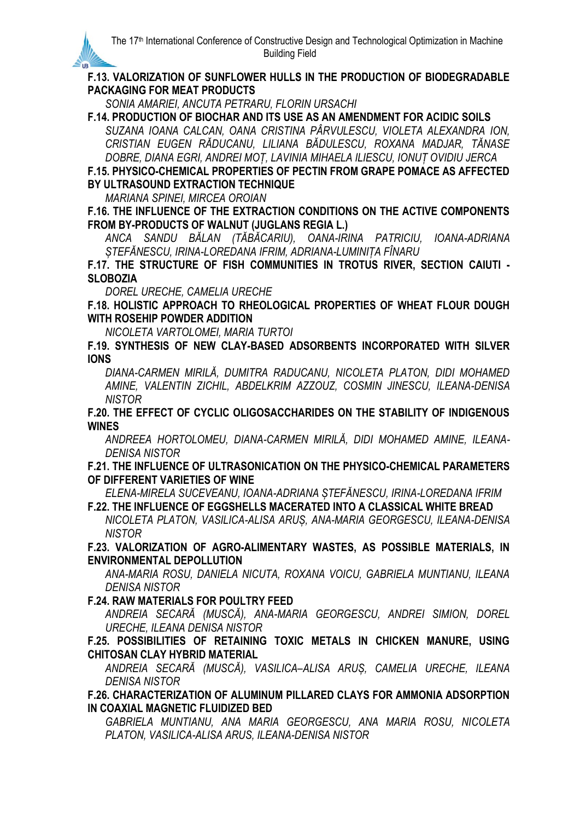#### **F.13. VALORIZATION OF SUNFLOWER HULLS IN THE PRODUCTION OF BIODEGRADABLE PACKAGING FOR MEAT PRODUCTS**

*SONIA AMARIEI, ANCUTA PETRARU, FLORIN URSACHI*

**F.14. PRODUCTION OF BIOCHAR AND ITS USE AS AN AMENDMENT FOR ACIDIC SOILS** *SUZANA IOANA CALCAN, OANA CRISTINA PÂRVULESCU, VIOLETA ALEXANDRA ION, CRISTIAN EUGEN RĂDUCANU, LILIANA BĂDULESCU, ROXANA MADJAR, TĂNASE* 

*DOBRE, DIANA EGRI, ANDREI MOȚ, LAVINIA MIHAELA ILIESCU, IONUȚ OVIDIU JERCA*

**F.15. PHYSICO-CHEMICAL PROPERTIES OF PECTIN FROM GRAPE POMACE AS AFFECTED BY ULTRASOUND EXTRACTION TECHNIQUE**

*MARIANA SPINEI, MIRCEA OROIAN*

**IR** 

**F.16. THE INFLUENCE OF THE EXTRACTION CONDITIONS ON THE ACTIVE COMPONENTS FROM BY-PRODUCTS OF WALNUT (JUGLANS REGIA L.)**

*ANCA SANDU BĂLAN (TĂBĂCARIU), OANA-IRINA PATRICIU, IOANA-ADRIANA ȘTEFĂNESCU, IRINA-LOREDANA IFRIM, ADRIANA-LUMINIȚA FÎNARU*

**F.17. THE STRUCTURE OF FISH COMMUNITIES IN TROTUS RIVER, SECTION CAIUTI - SLOBOZIA**

*DOREL URECHE, CAMELIA URECHE*

**F.18. HOLISTIC APPROACH TO RHEOLOGICAL PROPERTIES OF WHEAT FLOUR DOUGH WITH ROSEHIP POWDER ADDITION**

*NICOLETA VARTOLOMEI, MARIA TURTOI*

**F.19. SYNTHESIS OF NEW CLAY-BASED ADSORBENTS INCORPORATED WITH SILVER IONS**

*DIANA-CARMEN MIRILĂ, DUMITRA RADUCANU, NICOLETA PLATON, DIDI MOHAMED AMINE, VALENTIN ZICHIL, ABDELKRIM AZZOUZ, COSMIN JINESCU, ILEANA-DENISA NISTOR*

**F.20. THE EFFECT OF CYCLIC OLIGOSACCHARIDES ON THE STABILITY OF INDIGENOUS WINES**

*ANDREEA HORTOLOMEU, DIANA-CARMEN MIRILĂ, DIDI MOHAMED AMINE, ILEANA-DENISA NISTOR*

**F.21. THE INFLUENCE OF ULTRASONICATION ON THE PHYSICO-CHEMICAL PARAMETERS OF DIFFERENT VARIETIES OF WINE**

*ELENA-MIRELA SUCEVEANU, IOANA-ADRIANA ȘTEFĂNESCU, IRINA-LOREDANA IFRIM*

**F.22. THE INFLUENCE OF EGGSHELLS MACERATED INTO A CLASSICAL WHITE BREAD** *NICOLETA PLATON, VASILICA-ALISA ARUȘ, ANA-MARIA GEORGESCU, ILEANA-DENISA NISTOR*

**F.23. VALORIZATION OF AGRO-ALIMENTARY WASTES, AS POSSIBLE MATERIALS, IN ENVIRONMENTAL DEPOLLUTION**

*ANA-MARIA ROSU, DANIELA NICUTA, ROXANA VOICU, GABRIELA MUNTIANU, ILEANA DENISA NISTOR*

**F.24. RAW MATERIALS FOR POULTRY FEED**

*ANDREIA SECARĂ (MUSCĂ), ANA-MARIA GEORGESCU, ANDREI SIMION, DOREL URECHE, ILEANA DENISA NISTOR*

**F.25. POSSIBILITIES OF RETAINING TOXIC METALS IN CHICKEN MANURE, USING CHITOSAN CLAY HYBRID MATERIAL**

*ANDREIA SECARĂ (MUSCĂ), VASILICA–ALISA ARUȘ, CAMELIA URECHE, ILEANA DENISA NISTOR*

**F.26. CHARACTERIZATION OF ALUMINUM PILLARED CLAYS FOR AMMONIA ADSORPTION IN COAXIAL MAGNETIC FLUIDIZED BED**

*GABRIELA MUNTIANU, ANA MARIA GEORGESCU, ANA MARIA ROSU, NICOLETA PLATON, VASILICA-ALISA ARUS, ILEANA-DENISA NISTOR*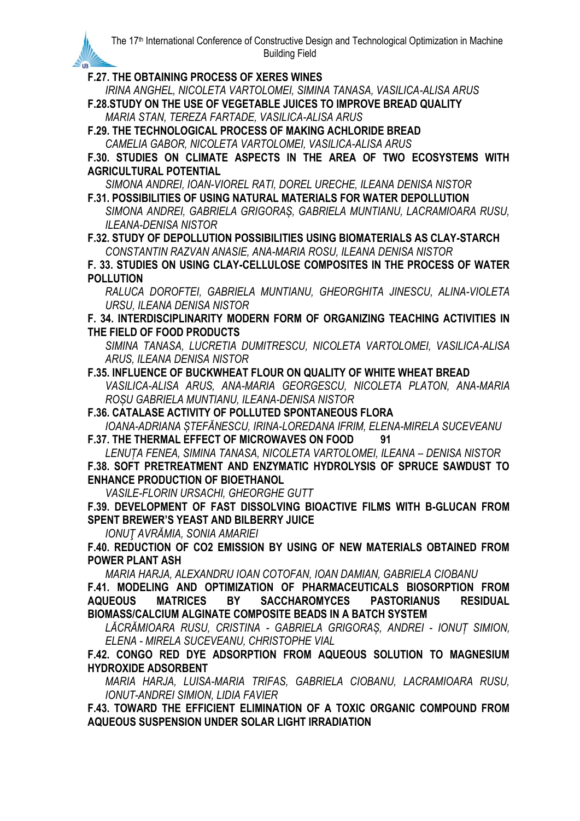**F.27. THE OBTAINING PROCESS OF XERES WINES**

**IR** 

*IRINA ANGHEL, NICOLETA VARTOLOMEI, SIMINA TANASA, VASILICA-ALISA ARUS*

**F.28.STUDY ON THE USE OF VEGETABLE JUICES TO IMPROVE BREAD QUALITY** *MARIA STAN, TEREZA FARTADE, VASILICA-ALISA ARUS*

**F.29. THE TECHNOLOGICAL PROCESS OF MAKING ACHLORIDE BREAD** *CAMELIA GABOR, NICOLETA VARTOLOMEI, VASILICA-ALISA ARUS*

**F.30. STUDIES ON CLIMATE ASPECTS IN THE AREA OF TWO ECOSYSTEMS WITH AGRICULTURAL POTENTIAL**

*SIMONA ANDREI, IOAN-VIOREL RATI, DOREL URECHE, ILEANA DENISA NISTOR*

**F.31. POSSIBILITIES OF USING NATURAL MATERIALS FOR WATER DEPOLLUTION** *SIMONA ANDREI, GABRIELA GRIGORAȘ, GABRIELA MUNTIANU, LACRAMIOARA RUSU, ILEANA-DENISA NISTOR*

**F.32. STUDY OF DEPOLLUTION POSSIBILITIES USING BIOMATERIALS AS CLAY-STARCH** *CONSTANTIN RAZVAN ANASIE, ANA-MARIA ROSU, ILEANA DENISA NISTOR*

**F. 33. STUDIES ON USING CLAY-CELLULOSE COMPOSITES IN THE PROCESS OF WATER POLLUTION**

*RALUCA DOROFTEI, GABRIELA MUNTIANU, GHEORGHITA JINESCU, ALINA-VIOLETA URSU, ILEANA DENISA NISTOR*

**F. 34. INTERDISCIPLINARITY MODERN FORM OF ORGANIZING TEACHING ACTIVITIES IN THE FIELD OF FOOD PRODUCTS**

*SIMINA TANASA, LUCRETIA DUMITRESCU, NICOLETA VARTOLOMEI, VASILICA-ALISA ARUS, ILEANA DENISA NISTOR*

**F.35. INFLUENCE OF BUCKWHEAT FLOUR ON QUALITY OF WHITE WHEAT BREAD** *VASILICA-ALISA ARUS, ANA-MARIA GEORGESCU, NICOLETA PLATON, ANA-MARIA ROȘU GABRIELA MUNTIANU, ILEANA-DENISA NISTOR*

**F.36. CATALASE ACTIVITY OF POLLUTED SPONTANEOUS FLORA**

*IOANA-ADRIANA ȘTEFĂNESCU, IRINA-LOREDANA IFRIM, ELENA-MIRELA SUCEVEANU* **F.37. THE THERMAL EFFECT OF MICROWAVES ON FOOD 91**

*LENUȚA FENEA, SIMINA TANASA, NICOLETA VARTOLOMEI, ILEANA – DENISA NISTOR* **F.38. SOFT PRETREATMENT AND ENZYMATIC HYDROLYSIS OF SPRUCE SAWDUST TO ENHANCE PRODUCTION OF BIOETHANOL**

*VASILE-FLORIN URSACHI, GHEORGHE GUTT*

**F.39. DEVELOPMENT OF FAST DISSOLVING BIOACTIVE FILMS WITH Β-GLUCAN FROM SPENT BREWER'S YEAST AND BILBERRY JUICE**

*IONUŢ AVRĂMIA, SONIA AMARIEI*

**F.40. REDUCTION OF CO2 EMISSION BY USING OF NEW MATERIALS OBTAINED FROM POWER PLANT ASH**

*MARIA HARJA, ALEXANDRU IOAN COTOFAN, IOAN DAMIAN, GABRIELA CIOBANU*

**F.41. MODELING AND OPTIMIZATION OF PHARMACEUTICALS BIOSORPTION FROM AQUEOUS MATRICES BY SACCHAROMYCES PASTORIANUS RESIDUAL BIOMASS/CALCIUM ALGINATE COMPOSITE BEADS IN A BATCH SYSTEM**

*LĂCRĂMIOARA RUSU, CRISTINA - GABRIELA GRIGORAȘ, ANDREI - IONUȚ SIMION, ELENA - MIRELA SUCEVEANU, CHRISTOPHE VIAL*

**F.42. CONGO RED DYE ADSORPTION FROM AQUEOUS SOLUTION TO MAGNESIUM HYDROXIDE ADSORBENT**

*MARIA HARJA, LUISA-MARIA TRIFAS, GABRIELA CIOBANU, LACRAMIOARA RUSU, IONUT-ANDREI SIMION, LIDIA FAVIER*

**F.43. TOWARD THE EFFICIENT ELIMINATION OF A TOXIC ORGANIC COMPOUND FROM AQUEOUS SUSPENSION UNDER SOLAR LIGHT IRRADIATION**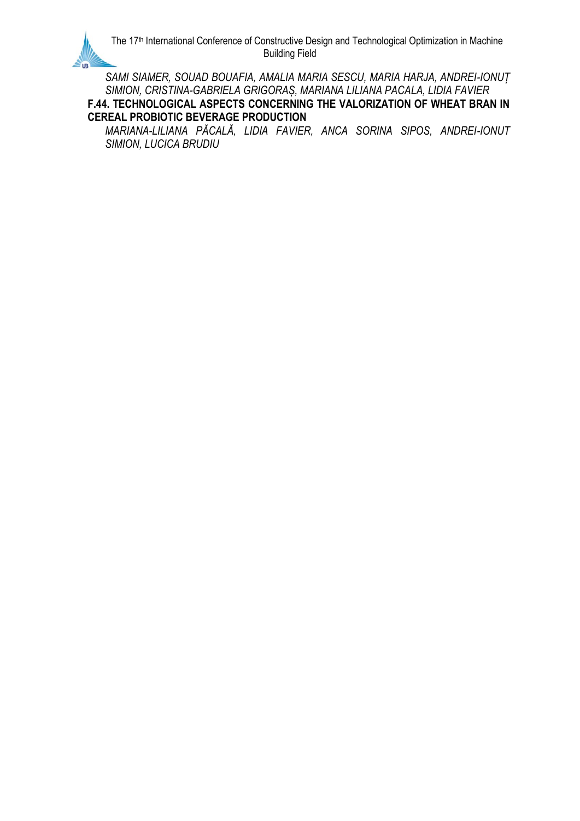*SAMI SIAMER, SOUAD BOUAFIA, AMALIA MARIA SESCU, MARIA HARJA, ANDREI-IONUȚ SIMION, CRISTINA-GABRIELA GRIGORAȘ, MARIANA LILIANA PACALA, LIDIA FAVIER*

**F.44. TECHNOLOGICAL ASPECTS CONCERNING THE VALORIZATION OF WHEAT BRAN IN CEREAL PROBIOTIC BEVERAGE PRODUCTION**

*MARIANA-LILIANA PĂCALĂ, LIDIA FAVIER, ANCA SORINA SIPOS, ANDREI-IONUT SIMION, LUCICA BRUDIU*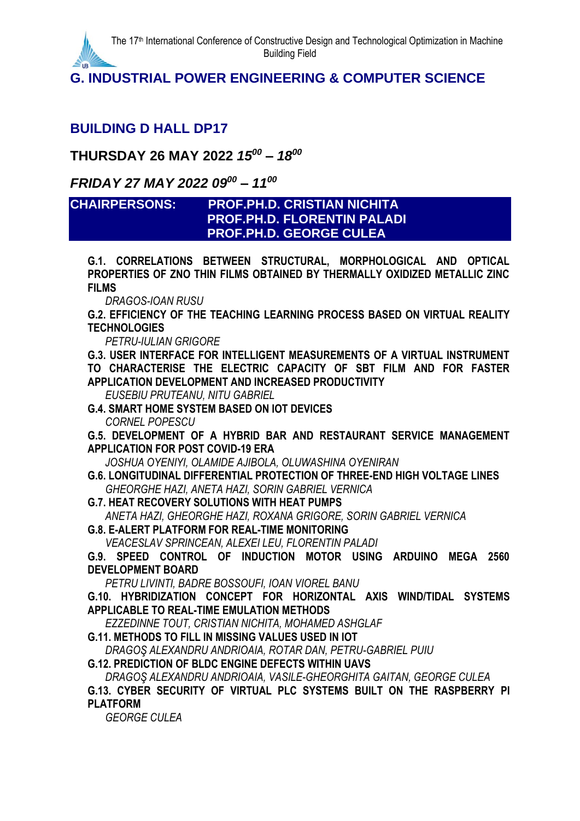**G. INDUSTRIAL POWER ENGINEERING & COMPUTER SCIENCE**

## **BUILDING D HALL DP17**

**THURSDAY 26 MAY 2022** *15 <sup>00</sup> – 18 00*

## *FRIDAY 27 MAY 2022 09<sup>00</sup> – 11 00*

#### **CHAIRPERSONS: PROF.PH.D. CRISTIAN NICHITA PROF.PH.D. FLORENTIN PALADI PROF.PH.D. GEORGE CULEA**

**G.1. CORRELATIONS BETWEEN STRUCTURAL, MORPHOLOGICAL AND OPTICAL PROPERTIES OF ZNO THIN FILMS OBTAINED BY THERMALLY OXIDIZED METALLIC ZINC FILMS**

*DRAGOS-IOAN RUSU*

**G.2. EFFICIENCY OF THE TEACHING LEARNING PROCESS BASED ON VIRTUAL REALITY TECHNOLOGIES**

*PETRU-IULIAN GRIGORE*

**G.3. USER INTERFACE FOR INTELLIGENT MEASUREMENTS OF A VIRTUAL INSTRUMENT TO CHARACTERISE THE ELECTRIC CAPACITY OF SBT FILM AND FOR FASTER APPLICATION DEVELOPMENT AND INCREASED PRODUCTIVITY**

*EUSEBIU PRUTEANU, NITU GABRIEL*

**G.4. SMART HOME SYSTEM BASED ON IOT DEVICES** *CORNEL POPESCU*

**G.5. DEVELOPMENT OF A HYBRID BAR AND RESTAURANT SERVICE MANAGEMENT APPLICATION FOR POST COVID-19 ERA**

*JOSHUA OYENIYI, OLAMIDE AJIBOLA, OLUWASHINA OYENIRAN*

**G.6. LONGITUDINAL DIFFERENTIAL PROTECTION OF THREE-END HIGH VOLTAGE LINES** *GHEORGHE HAZI, ANETA HAZI, SORIN GABRIEL VERNICA*

**G.7. HEAT RECOVERY SOLUTIONS WITH HEAT PUMPS** *ANETA HAZI, GHEORGHE HAZI, ROXANA GRIGORE, SORIN GABRIEL VERNICA*

**G.8. E-ALERT PLATFORM FOR REAL-TIME MONITORING** *VEACESLAV SPRINCEAN, ALEXEI LEU, FLORENTIN PALADI*

**G.9. SPEED CONTROL OF INDUCTION MOTOR USING ARDUINO MEGA 2560 DEVELOPMENT BOARD**

*PETRU LIVINTI, BADRE BOSSOUFI, IOAN VIOREL BANU*

**G.10. HYBRIDIZATION CONCEPT FOR HORIZONTAL AXIS WIND/TIDAL SYSTEMS APPLICABLE TO REAL-TIME EMULATION METHODS**

*EZZEDINNE TOUT, CRISTIAN NICHITA, MOHAMED ASHGLAF*

**G.11. METHODS TO FILL IN MISSING VALUES USED IN IOT**

*DRAGOŞ ALEXANDRU ANDRIOAIA, ROTAR DAN, PETRU-GABRIEL PUIU*

**G.12. PREDICTION OF BLDC ENGINE DEFECTS WITHIN UAVS**

*DRAGOŞ ALEXANDRU ANDRIOAIA, VASILE-GHEORGHITA GAITAN, GEORGE CULEA*

**G.13. CYBER SECURITY OF VIRTUAL PLC SYSTEMS BUILT ON THE RASPBERRY PI PLATFORM**

*GEORGE CULEA*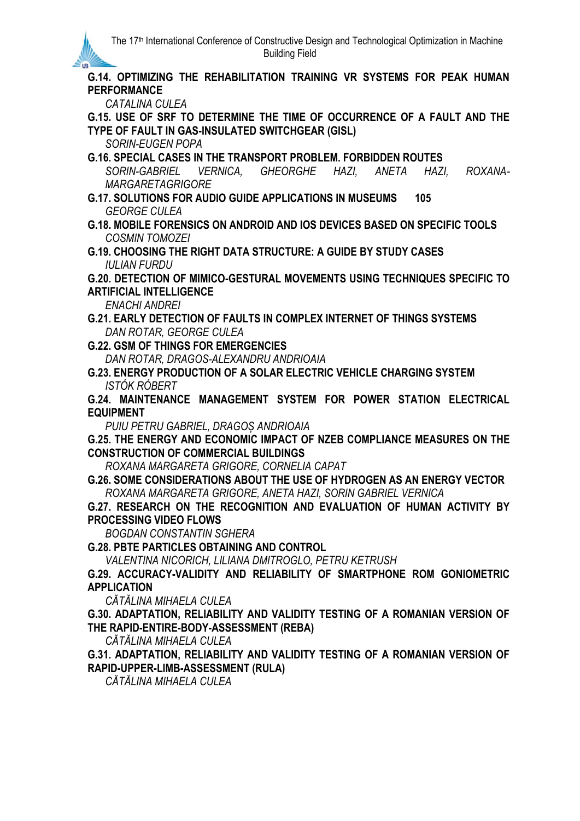**G.14. OPTIMIZING THE REHABILITATION TRAINING VR SYSTEMS FOR PEAK HUMAN PERFORMANCE**

*CATALINA CULEA*

**IR** 

**G.15. USE OF SRF TO DETERMINE THE TIME OF OCCURRENCE OF A FAULT AND THE TYPE OF FAULT IN GAS-INSULATED SWITCHGEAR (GISL)**

*SORIN-EUGEN POPA*

**G.16. SPECIAL CASES IN THE TRANSPORT PROBLEM. FORBIDDEN ROUTES** *SORIN-GABRIEL VERNICA, GHEORGHE HAZI, ANETA HAZI, ROXANA-MARGARETAGRIGORE*

**G.17. SOLUTIONS FOR AUDIO GUIDE APPLICATIONS IN MUSEUMS 105** *GEORGE CULEA*

**G.18. MOBILE FORENSICS ON ANDROID AND IOS DEVICES BASED ON SPECIFIC TOOLS** *COSMIN TOMOZEI*

**G.19. CHOOSING THE RIGHT DATA STRUCTURE: A GUIDE BY STUDY CASES** *IULIAN FURDU*

**G.20. DETECTION OF MIMICO-GESTURAL MOVEMENTS USING TECHNIQUES SPECIFIC TO ARTIFICIAL INTELLIGENCE**

*ENACHI ANDREI*

**G.21. EARLY DETECTION OF FAULTS IN COMPLEX INTERNET OF THINGS SYSTEMS** *DAN ROTAR, GEORGE CULEA*

**G.22. GSM OF THINGS FOR EMERGENCIES**

*DAN ROTAR, DRAGOS-ALEXANDRU ANDRIOAIA*

**G.23. ENERGY PRODUCTION OF A SOLAR ELECTRIC VEHICLE CHARGING SYSTEM** *ISTÓK RÓBERT*

**G.24. MAINTENANCE MANAGEMENT SYSTEM FOR POWER STATION ELECTRICAL EQUIPMENT**

*PUIU PETRU GABRIEL, DRAGOȘ ANDRIOAIA*

**G.25. THE ENERGY AND ECONOMIC IMPACT OF NZEB COMPLIANCE MEASURES ON THE CONSTRUCTION OF COMMERCIAL BUILDINGS**

*ROXANA MARGARETA GRIGORE, CORNELIA CAPAT*

**G.26. SOME CONSIDERATIONS ABOUT THE USE OF HYDROGEN AS AN ENERGY VECTOR** *ROXANA MARGARETA GRIGORE, ANETA HAZI, SORIN GABRIEL VERNICA*

**G.27. RESEARCH ON THE RECOGNITION AND EVALUATION OF HUMAN ACTIVITY BY PROCESSING VIDEO FLOWS**

*BOGDAN CONSTANTIN SGHERA*

**G.28. PBTE PARTICLES OBTAINING AND CONTROL**

*VALENTINA NICORICH, LILIANA DMITROGLO, PETRU KETRUSH*

**G.29. ACCURACY-VALIDITY AND RELIABILITY OF SMARTPHONE ROM GONIOMETRIC APPLICATION**

*CĂTĂLINA MIHAELA CULEA*

**G.30. ADAPTATION, RELIABILITY AND VALIDITY TESTING OF A ROMANIAN VERSION OF THE RAPID-ENTIRE-BODY-ASSESSMENT (REBA)**

*CĂTĂLINA MIHAELA CULEA*

**G.31. ADAPTATION, RELIABILITY AND VALIDITY TESTING OF A ROMANIAN VERSION OF RAPID-UPPER-LIMB-ASSESSMENT (RULA)**

*CĂTĂLINA MIHAELA CULEA*